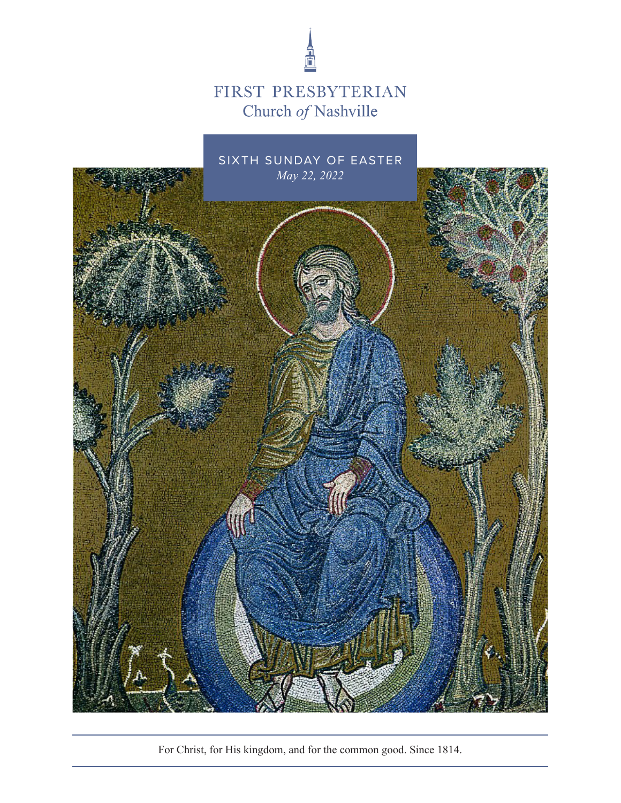

## FIRST PRESBYTERIAN Church of Nashville



For Christ, for His kingdom, and for the common good. Since 1814.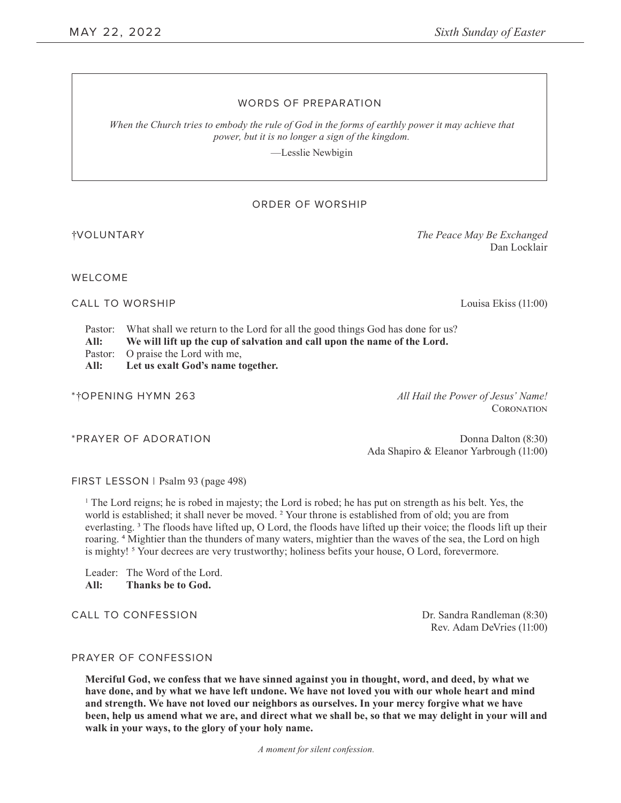#### WORDS OF PREPARATION

*When the Church tries to embody the rule of God in the forms of earthly power it may achieve that power, but it is no longer a sign of the kingdom.*

—Lesslie Newbigin

#### ORDER OF WORSHIP

†VOLUNTARY *The Peace May Be Exchanged*

WELCOME

CALL TO WORSHIP Louisa Ekiss (11:00)

Dan Locklair

Pastor: What shall we return to the Lord for all the good things God has done for us?

**All: We will lift up the cup of salvation and call upon the name of the Lord.** 

Pastor: O praise the Lord with me,

**All: Let us exalt God's name together.**

\*†OPENING HYMN 263 *All Hail the Power of Jesus' Name!*

**CORONATION** 

\*PRAYER OF ADORATION **Donna Dalton (8:30)** Donna Dalton (8:30) Ada Shapiro & Eleanor Yarbrough (11:00)

FIRST LESSON | Psalm 93 (page 498)

1 The Lord reigns; he is robed in majesty; the Lord is robed; he has put on strength as his belt. Yes, the world is established; it shall never be moved. 2 Your throne is established from of old; you are from everlasting. 3 The floods have lifted up, O Lord, the floods have lifted up their voice; the floods lift up their roaring. 4 Mightier than the thunders of many waters, mightier than the waves of the sea, the Lord on high is mighty! <sup>5</sup> Your decrees are very trustworthy; holiness befits your house, O Lord, forevermore.

Leader: The Word of the Lord. **All: Thanks be to God.**

CALL TO CONFESSION DESCRIPTION DESCRIPTION DESCRIPTION DESCRIPTION DESCRIPTION DESCRIPTION DE SANDRO DE SAN DE

Rev. Adam DeVries (11:00)

#### PRAYER OF CONFESSION

**Merciful God, we confess that we have sinned against you in thought, word, and deed, by what we have done, and by what we have left undone. We have not loved you with our whole heart and mind and strength. We have not loved our neighbors as ourselves. In your mercy forgive what we have been, help us amend what we are, and direct what we shall be, so that we may delight in your will and walk in your ways, to the glory of your holy name.** 

*A moment for silent confession.*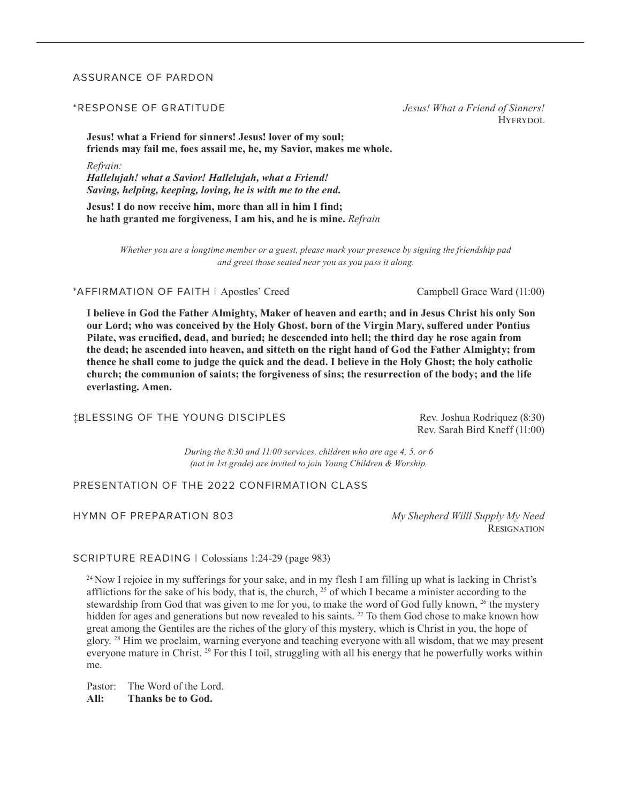#### ASSURANCE OF PARDON

#### \*RESPONSE OF GRATITUDE *Jesus! What a Friend of Sinners!*

**Jesus! what a Friend for sinners! Jesus! lover of my soul; friends may fail me, foes assail me, he, my Savior, makes me whole.** 

*Refrain:* 

*Hallelujah! what a Savior! Hallelujah, what a Friend! Saving, helping, keeping, loving, he is with me to the end.* 

**Jesus! I do now receive him, more than all in him I find; he hath granted me forgiveness, I am his, and he is mine.** *Refrain*

> *Whether you are a longtime member or a guest, please mark your presence by signing the friendship pad and greet those seated near you as you pass it along.*

\*AFFIRMATION OF FAITH | Apostles' Creed Campbell Grace Ward (11:00)

**I believe in God the Father Almighty, Maker of heaven and earth; and in Jesus Christ his only Son our Lord; who was conceived by the Holy Ghost, born of the Virgin Mary, suffered under Pontius Pilate, was crucified, dead, and buried; he descended into hell; the third day he rose again from the dead; he ascended into heaven, and sitteth on the right hand of God the Father Almighty; from thence he shall come to judge the quick and the dead. I believe in the Holy Ghost; the holy catholic church; the communion of saints; the forgiveness of sins; the resurrection of the body; and the life everlasting. Amen.** 

‡BLESSING OF THE YOUNG DISCIPLES Rev. Joshua Rodriquez (8:30)

Rev. Sarah Bird Kneff (11:00)

*During the 8:30 and 11:00 services, children who are age 4, 5, or 6 (not in 1st grade) are invited to join Young Children & Worship.*

#### PRESENTATION OF THE 2022 CONFIRMATION CLASS

#### HYMN OF PREPARATION 803 *My Shepherd Willl Supply My Need*

**RESIGNATION** 

SCRIPTURE READING | Colossians 1:24-29 (page 983)

24 Now I rejoice in my sufferings for your sake, and in my flesh I am filling up what is lacking in Christ's afflictions for the sake of his body, that is, the church,  $^{25}$  of which I became a minister according to the stewardship from God that was given to me for you, to make the word of God fully known, <sup>26</sup> the mystery hidden for ages and generations but now revealed to his saints. <sup>27</sup> To them God chose to make known how great among the Gentiles are the riches of the glory of this mystery, which is Christ in you, the hope of glory. 28 Him we proclaim, warning everyone and teaching everyone with all wisdom, that we may present everyone mature in Christ. <sup>29</sup> For this I toil, struggling with all his energy that he powerfully works within me.

Pastor: The Word of the Lord. **All: Thanks be to God.** 

HYFRYDOL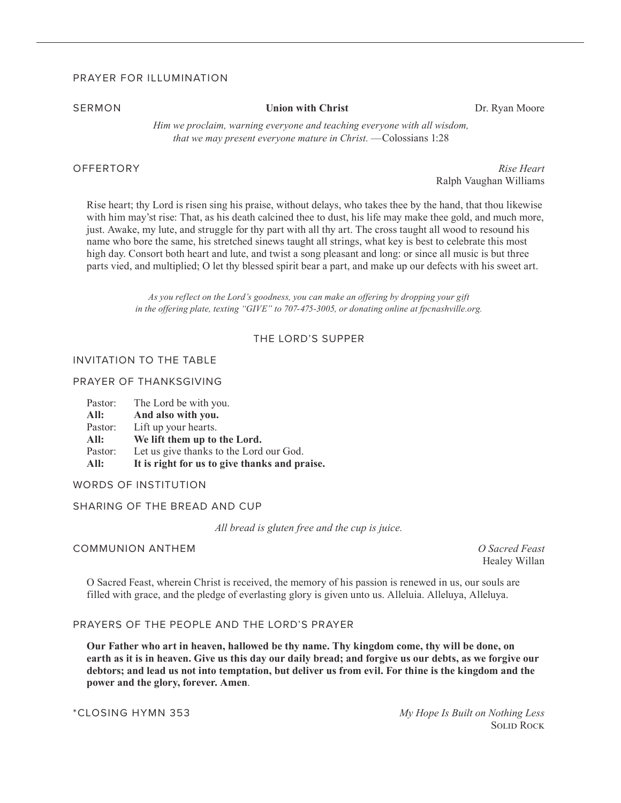#### PRAYER FOR ILLUMINATION

#### **SERMON Union with Christ** Dr. Ryan Moore

*Him we proclaim, warning everyone and teaching everyone with all wisdom, that we may present everyone mature in Christ.* — Colossians 1:28

OFFERTORY *Rise Heart*  Ralph Vaughan Williams

Rise heart; thy Lord is risen sing his praise, without delays, who takes thee by the hand, that thou likewise with him may'st rise: That, as his death calcined thee to dust, his life may make thee gold, and much more, just. Awake, my lute, and struggle for thy part with all thy art. The cross taught all wood to resound his name who bore the same, his stretched sinews taught all strings, what key is best to celebrate this most high day. Consort both heart and lute, and twist a song pleasant and long: or since all music is but three parts vied, and multiplied; O let thy blessed spirit bear a part, and make up our defects with his sweet art.

> *As you reflect on the Lord's goodness, you can make an offering by dropping your gift in the offering plate, texting "GIVE" to 707-475-3005, or donating online at fpcnashville.org.*

#### THE LORD'S SUPPER

#### INVITATION TO THE TABLE

#### PRAYER OF THANKSGIVING

| Pastor: | The Lord be with you.                         |
|---------|-----------------------------------------------|
| All:    | And also with you.                            |
| Pastor: | Lift up your hearts.                          |
| All:    | We lift them up to the Lord.                  |
| Pastor: | Let us give thanks to the Lord our God.       |
| All:    | It is right for us to give thanks and praise. |

WORDS OF INSTITUTION

#### SHARING OF THE BREAD AND CUP

*All bread is gluten free and the cup is juice.* 

#### COMMUNION ANTHEM *O Sacred Feast*

Healey Willan

O Sacred Feast, wherein Christ is received, the memory of his passion is renewed in us, our souls are filled with grace, and the pledge of everlasting glory is given unto us. Alleluia. Alleluya, Alleluya.

#### PRAYERS OF THE PEOPLE AND THE LORD'S PRAYER

**Our Father who art in heaven, hallowed be thy name. Thy kingdom come, thy will be done, on earth as it is in heaven. Give us this day our daily bread; and forgive us our debts, as we forgive our debtors; and lead us not into temptation, but deliver us from evil. For thine is the kingdom and the power and the glory, forever. Amen**.

\*CLOSING HYMN 353 *My Hope Is Built on Nothing Less*  Solid Rock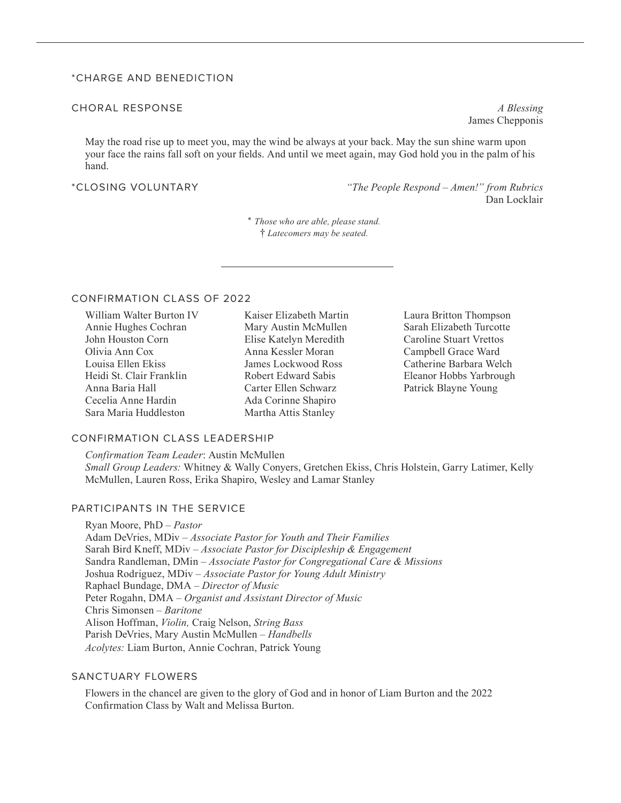#### \*CHARGE AND BENEDICTION

#### CHORAL RESPONSE *A Blessing*

May the road rise up to meet you, may the wind be always at your back. May the sun shine warm upon your face the rains fall soft on your fields. And until we meet again, may God hold you in the palm of his hand.

\*CLOSING VOLUNTARY *"The People Respond – Amen!" from Rubrics*  Dan Locklair

> \* *Those who are able, please stand.* † *Latecomers may be seated.*

#### CONFIRMATION CLASS OF 2022

William Walter Burton IV Annie Hughes Cochran John Houston Corn Olivia Ann Cox Louisa Ellen Ekiss Heidi St. Clair Franklin Anna Baria Hall Cecelia Anne Hardin Sara Maria Huddleston

Kaiser Elizabeth Martin Mary Austin McMullen Elise Katelyn Meredith Anna Kessler Moran James Lockwood Ross Robert Edward Sabis Carter Ellen Schwarz Ada Corinne Shapiro Martha Attis Stanley

Laura Britton Thompson Sarah Elizabeth Turcotte Caroline Stuart Vrettos Campbell Grace Ward Catherine Barbara Welch Eleanor Hobbs Yarbrough Patrick Blayne Young

#### CONFIRMATION CLASS LEADERSHIP

*Confirmation Team Leader*: Austin McMullen *Small Group Leaders:* Whitney & Wally Conyers, Gretchen Ekiss, Chris Holstein, Garry Latimer, Kelly McMullen, Lauren Ross, Erika Shapiro, Wesley and Lamar Stanley

### PARTICIPANTS IN THE SERVICE

Ryan Moore, PhD – *Pastor* Adam DeVries, MDiv – *Associate Pastor for Youth and Their Families* Sarah Bird Kneff, MDiv – *Associate Pastor for Discipleship & Engagement* Sandra Randleman, DMin – *Associate Pastor for Congregational Care & Missions*  Joshua Rodriguez, MDiv – *Associate Pastor for Young Adult Ministry*  Raphael Bundage, DMA – *Director of Music*  Peter Rogahn, DMA – *Organist and Assistant Director of Music*  Chris Simonsen – *Baritone* Alison Hoffman, *Violin,* Craig Nelson, *String Bass* Parish DeVries, Mary Austin McMullen – *Handbells Acolytes:* Liam Burton, Annie Cochran, Patrick Young

#### SANCTUARY FLOWERS

Flowers in the chancel are given to the glory of God and in honor of Liam Burton and the 2022 Confirmation Class by Walt and Melissa Burton.

James Chepponis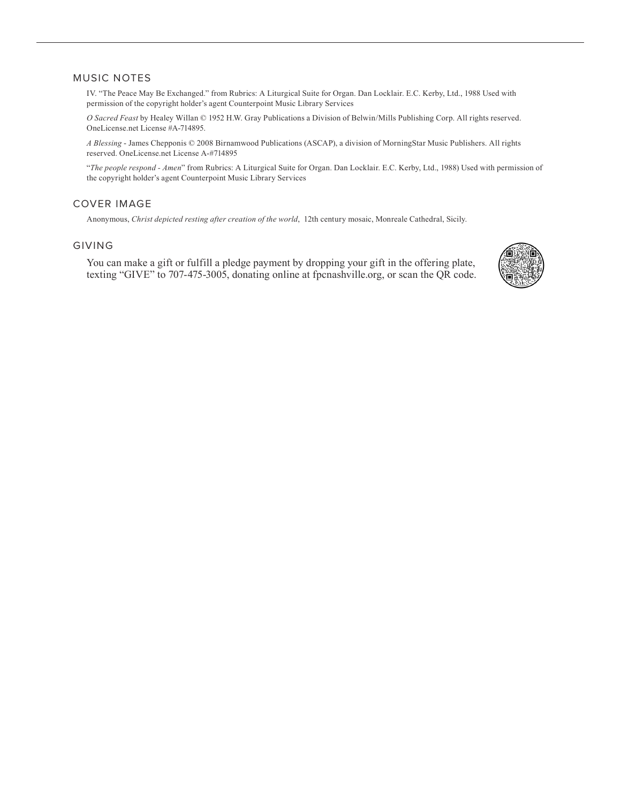#### MUSIC NOTES

IV. "The Peace May Be Exchanged." from Rubrics: A Liturgical Suite for Organ. Dan Locklair. E.C. Kerby, Ltd., 1988 Used with permission of the copyright holder's agent Counterpoint Music Library Services

*O Sacred Feast* by Healey Willan © 1952 H.W. Gray Publications a Division of Belwin/Mills Publishing Corp. All rights reserved. OneLicense.net License #A-714895.

*A Blessing* - James Chepponis © 2008 Birnamwood Publications (ASCAP), a division of MorningStar Music Publishers. All rights reserved. OneLicense.net License A-#714895

"*The people respond - Amen*" from Rubrics: A Liturgical Suite for Organ. Dan Locklair. E.C. Kerby, Ltd., 1988) Used with permission of the copyright holder's agent Counterpoint Music Library Services

#### COVER IMAGE

Anonymous, *Christ depicted resting after creation of the world*, 12th century mosaic, Monreale Cathedral, Sicily.

#### GIVING

You can make a gift or fulfill a pledge payment by dropping your gift in the offering plate, texting "GIVE" to 707-475-3005, donating online at fpcnashville.org, or scan the QR code.

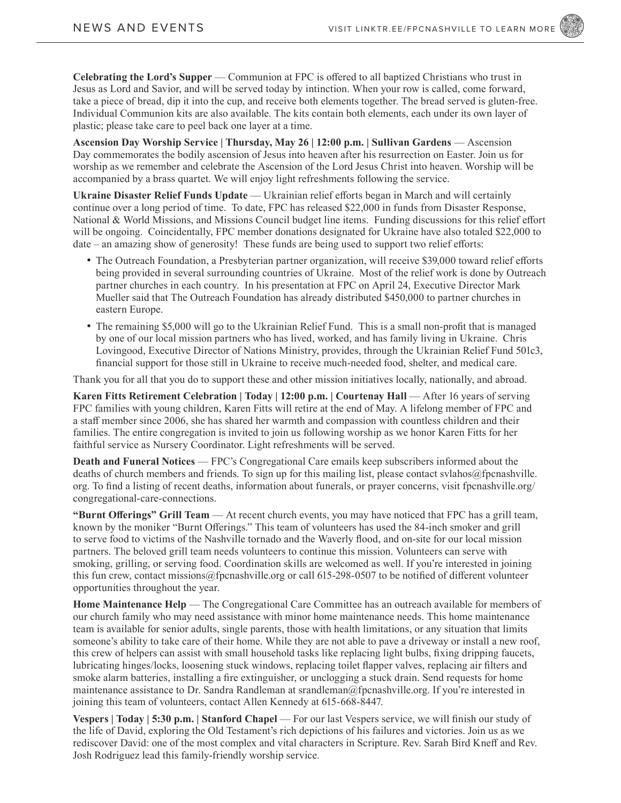**Celebrating the Lord's Supper** — Communion at FPC is offered to all baptized Christians who trust in Jesus as Lord and Savior, and will be served today by intinction. When your row is called, come forward, take a piece of bread, dip it into the cup, and receive both elements together. The bread served is gluten-free. Individual Communion kits are also available. The kits contain both elements, each under its own layer of plastic; please take care to peel back one layer at a time.

**Ascension Day Worship Service | Thursday, May 26 | 12:00 p.m. | Sullivan Gardens** — Ascension Day commemorates the bodily ascension of Jesus into heaven after his resurrection on Easter. Join us for worship as we remember and celebrate the Ascension of the Lord Jesus Christ into heaven. Worship will be accompanied by a brass quartet. We will enjoy light refreshments following the service.

Ukraine Disaster Relief Funds Update - Ukrainian relief efforts began in March and will certainly continue over a long period of time. To date, FPC has released \$22,000 in funds from Disaster Response, National & World Missions, and Missions Council budget line items. Funding discussions for this relief effort will be ongoing. Coincidentally, FPC member donations designated for Ukraine have also totaled \$22,000 to date – an amazing show of generosity! These funds are being used to support two relief efforts:

- The Outreach Foundation, a Presbyterian partner organization, will receive \$39,000 toward relief efforts being provided in several surrounding countries of Ukraine. Most of the relief work is done by Outreach partner churches in each country. In his presentation at FPC on April 24, Executive Director Mark Mueller said that The Outreach Foundation has already distributed \$450,000 to partner churches in eastern Europe.
- The remaining \$5,000 will go to the Ukrainian Relief Fund. This is a small non-profit that is managed by one of our local mission partners who has lived, worked, and has family living in Ukraine. Chris Lovingood, Executive Director of Nations Ministry, provides, through the Ukrainian Relief Fund 501c3, financial support for those still in Ukraine to receive much-needed food, shelter, and medical care.

Thank you for all that you do to support these and other mission initiatives locally, nationally, and abroad.

**Karen Fitts Retirement Celebration | Today | 12:00 p.m. | Courtenay Hall — After 16 years of serving** FPC families with young children, Karen Fitts will retire at the end of May. A lifelong member of FPC and a staff member since 2006, she has shared her warmth and compassion with countless children and their families. The entire congregation is invited to join us following worship as we honor Karen Fitts for her faithful service as Nursery Coordinator. Light refreshments will be served.

**Death and Funeral Notices** — FPC's Congregational Care emails keep subscribers informed about the deaths of church members and friends. To sign up for this mailing list, please contact svlahos@fpcnashville. org. To find a listing of recent deaths, information about funerals, or prayer concerns, visit fpcnashville.org/ congregational-care-connections.

**"Burnt Offerings" Grill Team** — At recent church events, you may have noticed that FPC has a grill team, known by the moniker "Burnt Offerings." This team of volunteers has used the 84-inch smoker and grill to serve food to victims of the Nashville tornado and the Waverly flood, and on-site for our local mission partners. The beloved grill team needs volunteers to continue this mission. Volunteers can serve with smoking, grilling, or serving food. Coordination skills are welcomed as well. If you're interested in joining this fun crew, contact missions@fpcnashville.org or call 615-298-0507 to be notified of different volunteer opportunities throughout the year.

**Home Maintenance Help** — The Congregational Care Committee has an outreach available for members of our church family who may need assistance with minor home maintenance needs. This home maintenance team is available for senior adults, single parents, those with health limitations, or any situation that limits someone's ability to take care of their home. While they are not able to pave a driveway or install a new roof, this crew of helpers can assist with small household tasks like replacing light bulbs, fixing dripping faucets, lubricating hinges/locks, loosening stuck windows, replacing toilet flapper valves, replacing air filters and smoke alarm batteries, installing a fire extinguisher, or unclogging a stuck drain. Send requests for home maintenance assistance to Dr. Sandra Randleman at srandleman@fpcnashville.org. If you're interested in joining this team of volunteers, contact Allen Kennedy at 615-668-8447.

Vespers | Today | 5:30 p.m. | Stanford Chapel — For our last Vespers service, we will finish our study of the life of David, exploring the Old Testament's rich depictions of his failures and victories. Join us as we rediscover David: one of the most complex and vital characters in Scripture. Rev. Sarah Bird Kneff and Rev. Josh Rodriguez lead this family-friendly worship service.